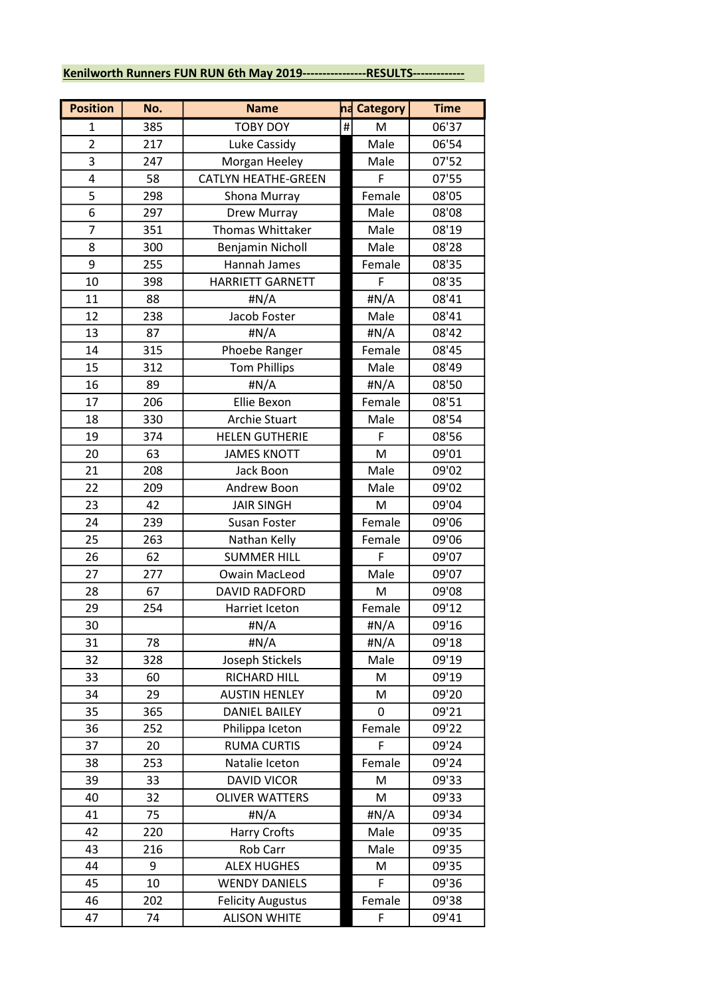## Kenilworth Runners FUN RUN 6th May 2019----------------RESULTS-------------

| <b>Position</b> | No. | <b>Name</b>                | na Category | <b>Time</b> |
|-----------------|-----|----------------------------|-------------|-------------|
| 1               | 385 | <b>TOBY DOY</b>            | #<br>M      | 06'37       |
| $\overline{2}$  | 217 | Luke Cassidy               | Male        | 06'54       |
| 3               | 247 | Morgan Heeley              | Male        | 07'52       |
| 4               | 58  | <b>CATLYN HEATHE-GREEN</b> | F           | 07'55       |
| 5               | 298 | Shona Murray               | Female      | 08'05       |
| 6               | 297 | Drew Murray                | Male        | 08'08       |
| $\overline{7}$  | 351 | <b>Thomas Whittaker</b>    | Male        | 08'19       |
| 8               | 300 | Benjamin Nicholl           | Male        | 08'28       |
| 9               | 255 | Hannah James               | Female      | 08'35       |
| 10              | 398 | <b>HARRIETT GARNETT</b>    | F           | 08'35       |
| 11              | 88  | #N/A                       | #N/A        | 08'41       |
| 12              | 238 | Jacob Foster               | Male        | 08'41       |
| 13              | 87  | #N/A                       | #N/A        | 08'42       |
| 14              | 315 | Phoebe Ranger              | Female      | 08'45       |
| 15              | 312 | <b>Tom Phillips</b>        | Male        | 08'49       |
| 16              | 89  | #N/A                       | #N/A        | 08'50       |
| 17              | 206 | Ellie Bexon                | Female      | 08'51       |
| 18              | 330 | <b>Archie Stuart</b>       | Male        | 08'54       |
| 19              | 374 | <b>HELEN GUTHERIE</b>      | F           | 08'56       |
| 20              | 63  | <b>JAMES KNOTT</b>         | ${\sf M}$   | 09'01       |
| 21              | 208 | Jack Boon                  | Male        | 09'02       |
| 22              | 209 | Andrew Boon                | Male        | 09'02       |
| 23              | 42  | <b>JAIR SINGH</b>          | M           | 09'04       |
| 24              | 239 | Susan Foster               | Female      | 09'06       |
| 25              | 263 | Nathan Kelly               | Female      | 09'06       |
| 26              | 62  | <b>SUMMER HILL</b>         | F           | 09'07       |
| 27              | 277 | <b>Owain MacLeod</b>       | Male        | 09'07       |
| 28              | 67  | <b>DAVID RADFORD</b>       | M           | 09'08       |
| 29              | 254 | Harriet Iceton             | Female      | 09'12       |
| 30              |     | #N/A                       | #N/A        | 09'16       |
| 31              | 78  | #N/A                       | #N/A        | 09'18       |
| 32              | 328 | Joseph Stickels            | Male        | 09'19       |
| 33              | 60  | RICHARD HILL               | M           | 09'19       |
| 34              | 29  | <b>AUSTIN HENLEY</b>       | M           | 09'20       |
| 35              | 365 | <b>DANIEL BAILEY</b>       | 0           | 09'21       |
| 36              | 252 | Philippa Iceton            | Female      | 09'22       |
| 37              | 20  | <b>RUMA CURTIS</b>         | F           | 09'24       |
| 38              | 253 | Natalie Iceton             | Female      | 09'24       |
| 39              | 33  | <b>DAVID VICOR</b>         | M           | 09'33       |
| 40              | 32  | <b>OLIVER WATTERS</b>      | M           | 09'33       |
| 41              | 75  | #N/A                       | #N/A        | 09'34       |
| 42              | 220 | Harry Crofts               | Male        | 09'35       |
| 43              | 216 | Rob Carr                   | Male        | 09'35       |
| 44              | 9   | <b>ALEX HUGHES</b>         | M           | 09'35       |
| 45              | 10  | <b>WENDY DANIELS</b>       | F           | 09'36       |
| 46              | 202 | <b>Felicity Augustus</b>   | Female      | 09'38       |
| 47              | 74  | <b>ALISON WHITE</b>        | F           | 09'41       |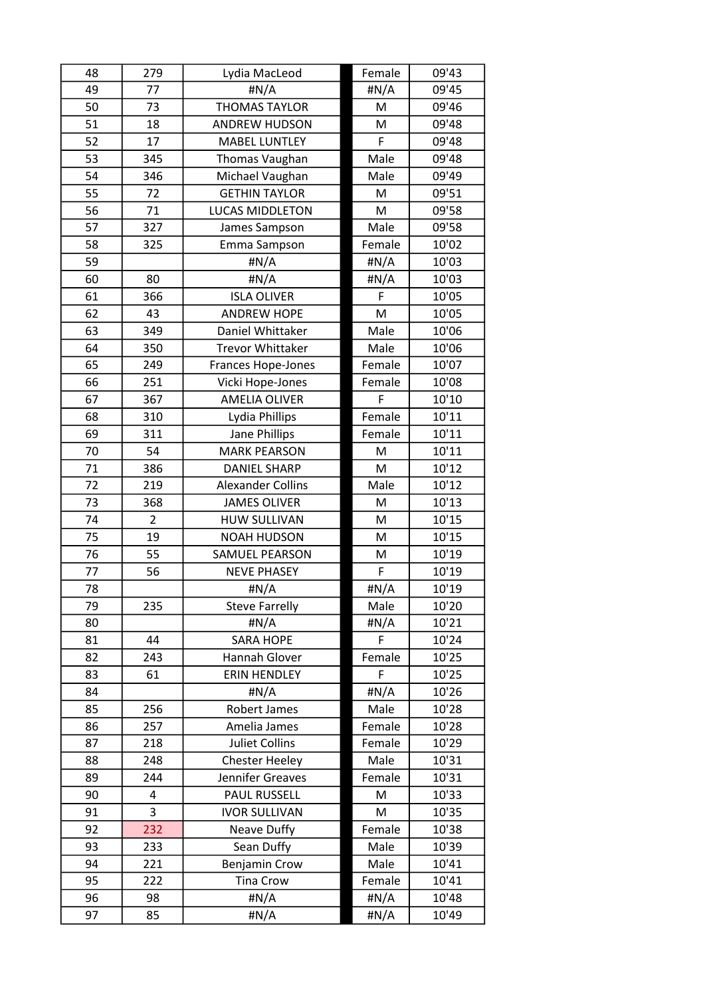| 48 | 279            | Lydia MacLeod             | Female | 09'43 |
|----|----------------|---------------------------|--------|-------|
| 49 | 77             | #N/A                      | #N/A   | 09'45 |
| 50 | 73             | <b>THOMAS TAYLOR</b>      | M      | 09'46 |
| 51 | 18             | <b>ANDREW HUDSON</b>      | M      | 09'48 |
| 52 | 17             | <b>MABEL LUNTLEY</b>      | F      | 09'48 |
| 53 | 345            | Thomas Vaughan            | Male   | 09'48 |
| 54 | 346            | Michael Vaughan           | Male   | 09'49 |
| 55 | 72             | <b>GETHIN TAYLOR</b>      | M      | 09'51 |
| 56 | 71             | <b>LUCAS MIDDLETON</b>    | M      | 09'58 |
| 57 | 327            | James Sampson             | Male   | 09'58 |
| 58 | 325            | Emma Sampson              | Female | 10'02 |
| 59 |                | #N/A                      | #N/A   | 10'03 |
| 60 | 80             | #N/A                      | #N/A   | 10'03 |
| 61 | 366            | <b>ISLA OLIVER</b>        | F      | 10'05 |
| 62 | 43             | <b>ANDREW HOPE</b>        | M      | 10'05 |
| 63 | 349            | Daniel Whittaker          | Male   | 10'06 |
| 64 | 350            | <b>Trevor Whittaker</b>   | Male   | 10'06 |
| 65 | 249            | <b>Frances Hope-Jones</b> | Female | 10'07 |
| 66 | 251            | Vicki Hope-Jones          | Female | 10'08 |
| 67 | 367            | <b>AMELIA OLIVER</b>      | F      | 10'10 |
| 68 | 310            | Lydia Phillips            | Female | 10'11 |
| 69 | 311            | Jane Phillips             | Female | 10'11 |
| 70 | 54             | <b>MARK PEARSON</b>       | M      | 10'11 |
| 71 | 386            | <b>DANIEL SHARP</b>       | M      | 10'12 |
| 72 | 219            | <b>Alexander Collins</b>  | Male   | 10'12 |
| 73 | 368            | <b>JAMES OLIVER</b>       | M      | 10'13 |
| 74 | $\overline{2}$ | <b>HUW SULLIVAN</b>       | M      | 10'15 |
| 75 | 19             | <b>NOAH HUDSON</b>        | M      | 10'15 |
| 76 | 55             | SAMUEL PEARSON            | M      | 10'19 |
| 77 | 56             | <b>NEVE PHASEY</b>        | F      | 10'19 |
| 78 |                | #N/A                      | #N/A   | 10'19 |
| 79 | 235            | <b>Steve Farrelly</b>     | Male   | 10'20 |
| 80 |                | #N/A                      | #N/A   | 10'21 |
| 81 | 44             | <b>SARA HOPE</b>          | F      | 10'24 |
| 82 | 243            | Hannah Glover             | Female | 10'25 |
| 83 | 61             | <b>ERIN HENDLEY</b>       | F      | 10'25 |
| 84 |                | #N/A                      | H N/A  | 10'26 |
| 85 | 256            | Robert James              | Male   | 10'28 |
| 86 | 257            | Amelia James              | Female | 10'28 |
| 87 | 218            | <b>Juliet Collins</b>     | Female | 10'29 |
| 88 | 248            | <b>Chester Heeley</b>     | Male   | 10'31 |
| 89 | 244            | Jennifer Greaves          | Female | 10'31 |
| 90 | 4              | <b>PAUL RUSSELL</b>       | M      | 10'33 |
| 91 | 3              | <b>IVOR SULLIVAN</b>      | M      | 10'35 |
| 92 | 232            | Neave Duffy               | Female | 10'38 |
| 93 | 233            | Sean Duffy                | Male   | 10'39 |
| 94 | 221            | <b>Benjamin Crow</b>      | Male   | 10'41 |
| 95 | 222            | <b>Tina Crow</b>          | Female | 10'41 |
| 96 | 98             | #N/A                      | H N/A  | 10'48 |
| 97 | 85             | #N/A                      | #N/A   | 10'49 |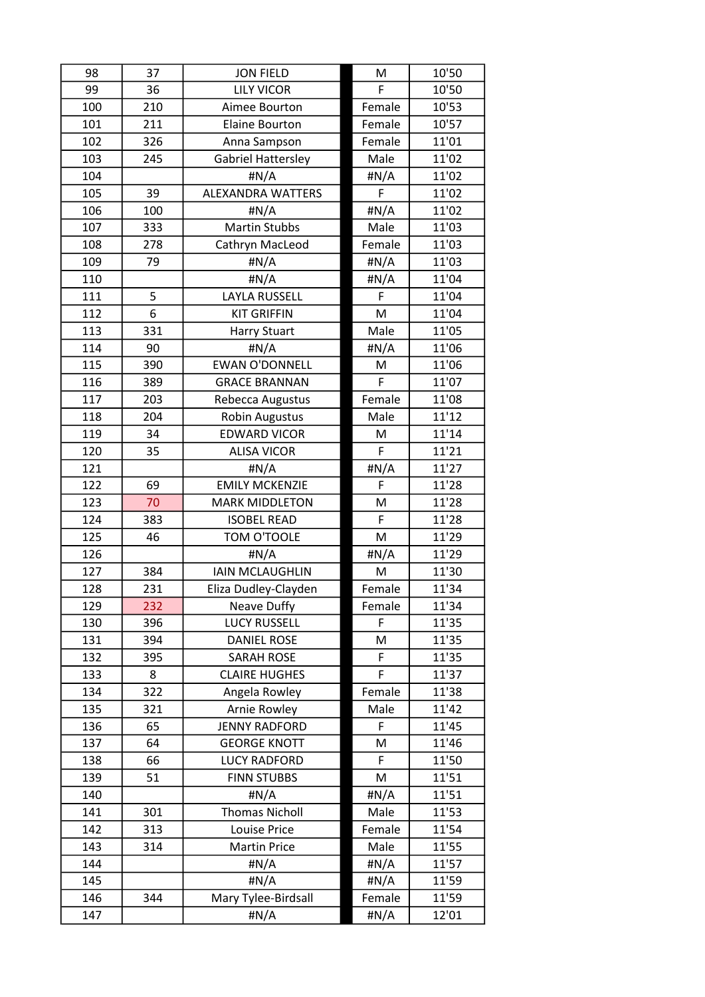| 98  | 37  | <b>JON FIELD</b>         | M      | 10'50 |
|-----|-----|--------------------------|--------|-------|
| 99  | 36  | <b>LILY VICOR</b>        | F      | 10'50 |
| 100 | 210 | Aimee Bourton            | Female | 10'53 |
| 101 | 211 | <b>Elaine Bourton</b>    | Female | 10'57 |
| 102 | 326 | Anna Sampson             | Female | 11'01 |
| 103 | 245 | Gabriel Hattersley       | Male   | 11'02 |
| 104 |     | #N/A                     | #N/A   | 11'02 |
| 105 | 39  | <b>ALEXANDRA WATTERS</b> | F      | 11'02 |
| 106 | 100 | #N/A                     | #N/A   | 11'02 |
| 107 | 333 | <b>Martin Stubbs</b>     | Male   | 11'03 |
| 108 | 278 | Cathryn MacLeod          | Female | 11'03 |
| 109 | 79  | $\sharp N/A$             | #N/A   | 11'03 |
| 110 |     | #N/A                     | #N/A   | 11'04 |
| 111 | 5   | <b>LAYLA RUSSELL</b>     | F      | 11'04 |
| 112 | 6   | <b>KIT GRIFFIN</b>       | M      | 11'04 |
| 113 | 331 | <b>Harry Stuart</b>      | Male   | 11'05 |
| 114 | 90  | #N/A                     | #N/A   | 11'06 |
| 115 | 390 | <b>EWAN O'DONNELL</b>    | M      | 11'06 |
| 116 | 389 | <b>GRACE BRANNAN</b>     | F      | 11'07 |
| 117 | 203 | Rebecca Augustus         | Female | 11'08 |
| 118 | 204 | Robin Augustus           | Male   | 11'12 |
| 119 | 34  | <b>EDWARD VICOR</b>      | M      | 11'14 |
| 120 | 35  | <b>ALISA VICOR</b>       | F      | 11'21 |
| 121 |     | $\sharp N/A$             | #N/A   | 11'27 |
| 122 | 69  | <b>EMILY MCKENZIE</b>    | F      | 11'28 |
| 123 | 70  | <b>MARK MIDDLETON</b>    | M      | 11'28 |
| 124 | 383 | <b>ISOBEL READ</b>       | F      | 11'28 |
| 125 | 46  | TOM O'TOOLE              | M      | 11'29 |
| 126 |     | #N/A                     | #N/A   | 11'29 |
| 127 | 384 | <b>IAIN MCLAUGHLIN</b>   | M      | 11'30 |
| 128 | 231 | Eliza Dudley-Clayden     | Female | 11'34 |
| 129 | 232 | Neave Duffy              | Female | 11'34 |
| 130 | 396 | <b>LUCY RUSSELL</b>      | F      | 11'35 |
| 131 | 394 | <b>DANIEL ROSE</b>       | M      | 11'35 |
| 132 | 395 | <b>SARAH ROSE</b>        | F      | 11'35 |
| 133 | 8   | <b>CLAIRE HUGHES</b>     | F      | 11'37 |
| 134 | 322 | Angela Rowley            | Female | 11'38 |
| 135 | 321 | <b>Arnie Rowley</b>      | Male   | 11'42 |
| 136 | 65  | <b>JENNY RADFORD</b>     | F      | 11'45 |
| 137 | 64  | <b>GEORGE KNOTT</b>      | M      | 11'46 |
| 138 | 66  | <b>LUCY RADFORD</b>      | F      | 11'50 |
| 139 | 51  | <b>FINN STUBBS</b>       | M      | 11'51 |
| 140 |     | #N/A                     | #N/A   | 11'51 |
| 141 | 301 | <b>Thomas Nicholl</b>    | Male   | 11'53 |
| 142 | 313 | Louise Price             | Female | 11'54 |
| 143 | 314 | <b>Martin Price</b>      | Male   | 11'55 |
| 144 |     | #N/A                     | #N/A   | 11'57 |
| 145 |     | #N/A                     | #N/A   | 11'59 |
| 146 | 344 | Mary Tylee-Birdsall      | Female | 11'59 |
| 147 |     | #N/A                     | #N/A   | 12'01 |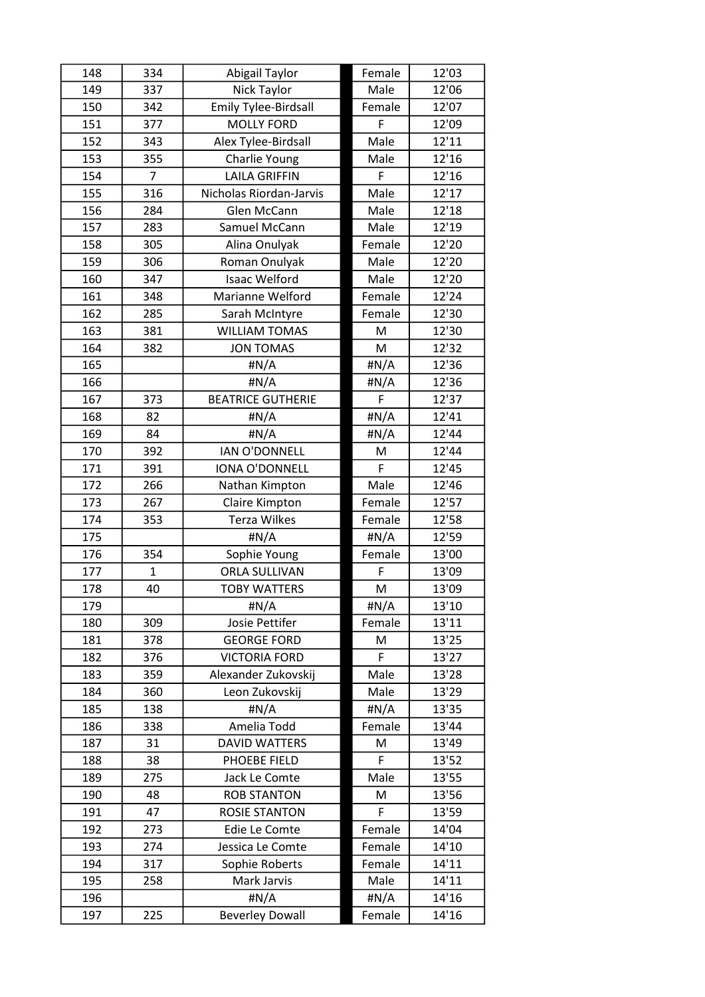| 148 | 334            | Abigail Taylor              | Female | 12'03 |
|-----|----------------|-----------------------------|--------|-------|
| 149 | 337            | Nick Taylor                 | Male   | 12'06 |
| 150 | 342            | <b>Emily Tylee-Birdsall</b> | Female | 12'07 |
| 151 | 377            | <b>MOLLY FORD</b>           | F      | 12'09 |
| 152 | 343            | Alex Tylee-Birdsall         | Male   | 12'11 |
| 153 | 355            | Charlie Young               | Male   | 12'16 |
| 154 | $\overline{7}$ | <b>LAILA GRIFFIN</b>        | F      | 12'16 |
| 155 | 316            | Nicholas Riordan-Jarvis     | Male   | 12'17 |
| 156 | 284            | Glen McCann                 | Male   | 12'18 |
| 157 | 283            | Samuel McCann               | Male   | 12'19 |
| 158 | 305            | Alina Onulyak               | Female | 12'20 |
| 159 | 306            | Roman Onulyak               | Male   | 12'20 |
| 160 | 347            | <b>Isaac Welford</b>        | Male   | 12'20 |
| 161 | 348            | Marianne Welford            | Female | 12'24 |
| 162 | 285            | Sarah McIntyre              | Female | 12'30 |
| 163 | 381            | <b>WILLIAM TOMAS</b>        | M      | 12'30 |
| 164 | 382            | <b>JON TOMAS</b>            | M      | 12'32 |
| 165 |                | #N/A                        | #N/A   | 12'36 |
| 166 |                | #N/A                        | #N/A   | 12'36 |
| 167 | 373            | <b>BEATRICE GUTHERIE</b>    | F      | 12'37 |
| 168 | 82             | #N/A                        | #N/A   | 12'41 |
| 169 | 84             | #N/A                        | #N/A   | 12'44 |
| 170 | 392            | <b>IAN O'DONNELL</b>        | M      | 12'44 |
| 171 | 391            | <b>IONA O'DONNELL</b>       | F      | 12'45 |
| 172 | 266            | Nathan Kimpton              | Male   | 12'46 |
| 173 | 267            | Claire Kimpton              | Female | 12'57 |
| 174 | 353            | <b>Terza Wilkes</b>         | Female | 12'58 |
| 175 |                | #N/A                        | #N/A   | 12'59 |
| 176 | 354            | Sophie Young                | Female | 13'00 |
| 177 | $\mathbf{1}$   | <b>ORLA SULLIVAN</b>        | F      | 13'09 |
| 178 | 40             | <b>TOBY WATTERS</b>         | M      | 13'09 |
| 179 |                | #N/A                        | #N/A   | 13'10 |
| 180 | 309            | Josie Pettifer              | Female | 13'11 |
| 181 | 378            | <b>GEORGE FORD</b>          | M      | 13'25 |
| 182 | 376            | <b>VICTORIA FORD</b>        | F      | 13'27 |
| 183 | 359            | Alexander Zukovskij         | Male   | 13'28 |
| 184 | 360            | Leon Zukovskij              | Male   | 13'29 |
| 185 | 138            | #N/A                        | #N/A   | 13'35 |
| 186 | 338            | Amelia Todd                 | Female | 13'44 |
| 187 | 31             | <b>DAVID WATTERS</b>        | M      | 13'49 |
| 188 | 38             | PHOEBE FIELD                | F      | 13'52 |
| 189 | 275            | Jack Le Comte               | Male   | 13'55 |
| 190 | 48             | <b>ROB STANTON</b>          | M      | 13'56 |
| 191 | 47             | <b>ROSIE STANTON</b>        | F      | 13'59 |
| 192 | 273            | Edie Le Comte               | Female | 14'04 |
| 193 | 274            | Jessica Le Comte            | Female | 14'10 |
| 194 | 317            | Sophie Roberts              | Female | 14'11 |
| 195 | 258            | Mark Jarvis                 | Male   | 14'11 |
| 196 |                | #N/A                        | #N/A   | 14'16 |
| 197 | 225            | <b>Beverley Dowall</b>      | Female | 14'16 |